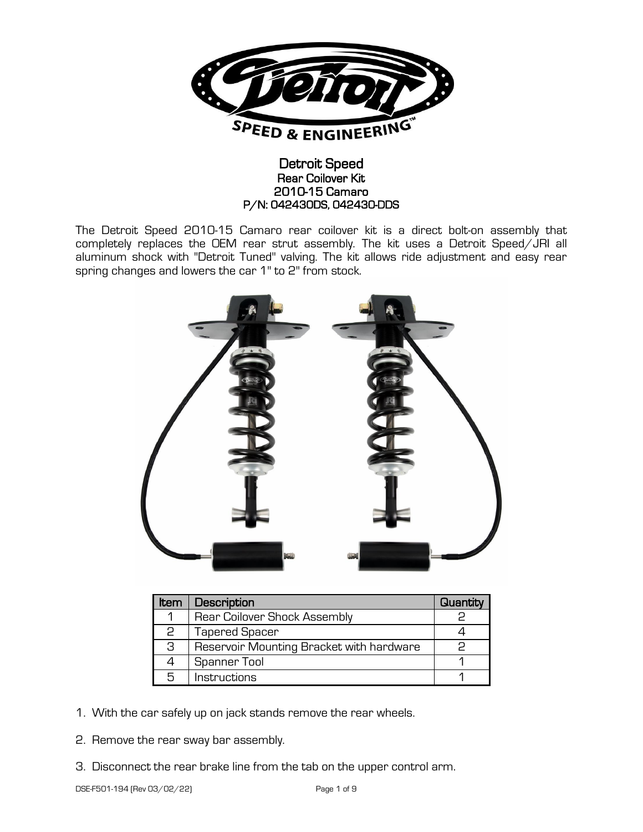

# Detroit Speed Rear Coilover Kit 2010-15 Camaro P/N: 042430DS, 042430-DDS

The Detroit Speed 2010-15 Camaro rear coilover kit is a direct bolt-on assembly that completely replaces the OEM rear strut assembly. The kit uses a Detroit Speed/JRI all aluminum shock with "Detroit Tuned" valving. The kit allows ride adjustment and easy rear spring changes and lowers the car 1" to 2" from stock.



| <b>Item</b> | Description                              | Quantity |
|-------------|------------------------------------------|----------|
| 1           | <b>Rear Coilover Shock Assembly</b>      |          |
| 2           | <b>Tapered Spacer</b>                    |          |
| З           | Reservoir Mounting Bracket with hardware |          |
|             | Spanner Tool                             |          |
| 5           | Instructions                             |          |

- 1. With the car safely up on jack stands remove the rear wheels.
- 2. Remove the rear sway bar assembly.
- 3. Disconnect the rear brake line from the tab on the upper control arm.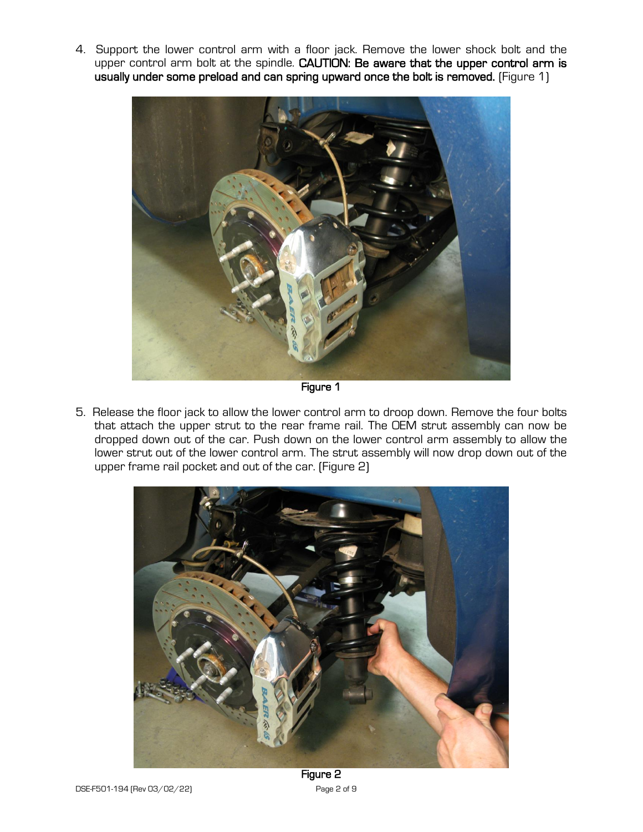4. Support the lower control arm with a floor jack. Remove the lower shock bolt and the upper control arm bolt at the spindle. CAUTION: Be aware that the upper control arm is usually under some preload and can spring upward once the bolt is removed. (Figure 1)



Figure 1

5. Release the floor jack to allow the lower control arm to droop down. Remove the four bolts that attach the upper strut to the rear frame rail. The OEM strut assembly can now be dropped down out of the car. Push down on the lower control arm assembly to allow the lower strut out of the lower control arm. The strut assembly will now drop down out of the upper frame rail pocket and out of the car. (Figure 2)



Figure 2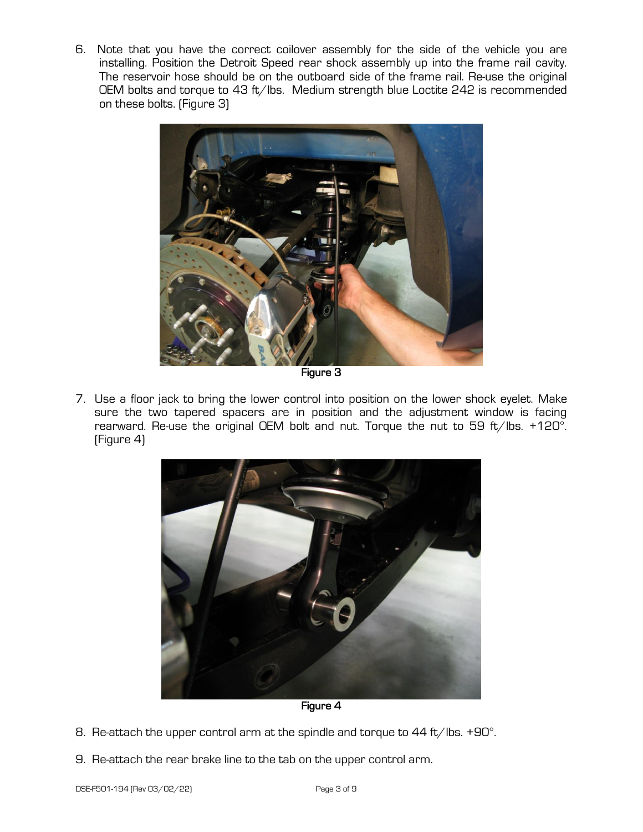6. Note that you have the correct coilover assembly for the side of the vehicle you are installing. Position the Detroit Speed rear shock assembly up into the frame rail cavity. The reservoir hose should be on the outboard side of the frame rail. Re-use the original OEM bolts and torque to 43 ft/lbs. Medium strength blue Loctite 242 is recommended on these bolts. (Figure 3)



Figure 3

7. Use a floor jack to bring the lower control into position on the lower shock eyelet. Make sure the two tapered spacers are in position and the adjustment window is facing rearward. Re-use the original OEM bolt and nut. Torque the nut to 59 ft/lbs. +120°. (Figure 4)



Figure 4

- 8. Re-attach the upper control arm at the spindle and torque to 44 ft/lbs. +90°.
- 9. Re-attach the rear brake line to the tab on the upper control arm.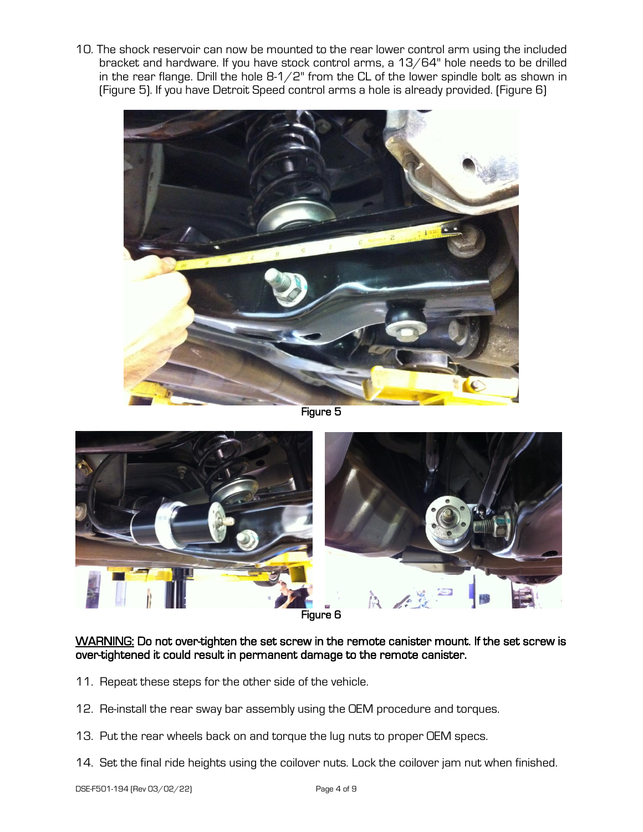10. The shock reservoir can now be mounted to the rear lower control arm using the included bracket and hardware. If you have stock control arms, a 13/64" hole needs to be drilled in the rear flange. Drill the hole  $8-1/2$ " from the CL of the lower spindle bolt as shown in (Figure 5). If you have Detroit Speed control arms a hole is already provided. (Figure 6)



Figure 5



Figure 6

#### WARNING: Do not over-tighten the set screw in the remote canister mount. If the set screw is over-tightened it could result in permanent damage to the remote canister.

- 11. Repeat these steps for the other side of the vehicle.
- 12. Re-install the rear sway bar assembly using the OEM procedure and torques.
- 13. Put the rear wheels back on and torque the lug nuts to proper OEM specs.
- 14. Set the final ride heights using the coilover nuts. Lock the coilover jam nut when finished.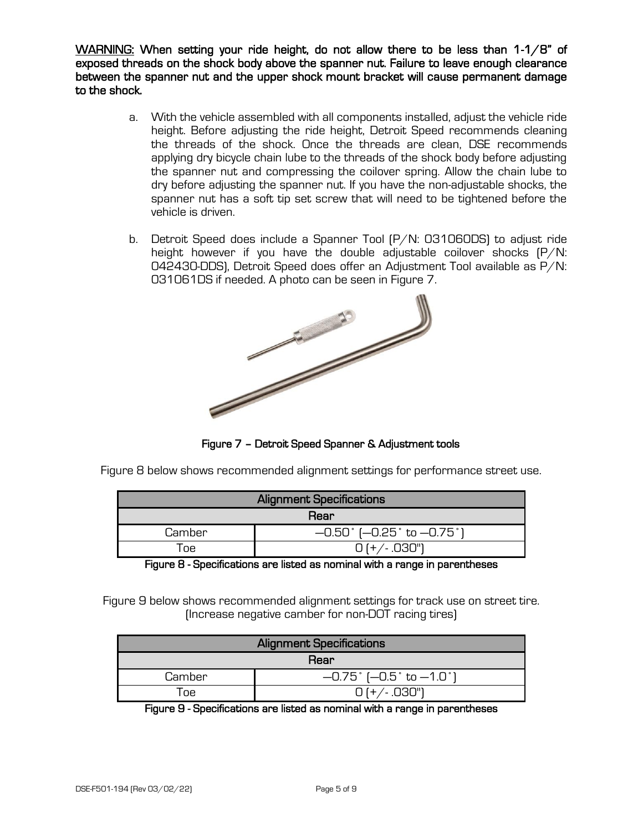WARNING: When setting your ride height, do not allow there to be less than 1-1/8" of exposed threads on the shock body above the spanner nut. Failure to leave enough clearance between the spanner nut and the upper shock mount bracket will cause permanent damage to the shock.

- a. With the vehicle assembled with all components installed, adjust the vehicle ride height. Before adjusting the ride height, Detroit Speed recommends cleaning the threads of the shock. Once the threads are clean, DSE recommends applying dry bicycle chain lube to the threads of the shock body before adjusting the spanner nut and compressing the coilover spring. Allow the chain lube to dry before adjusting the spanner nut. If you have the non-adjustable shocks, the spanner nut has a soft tip set screw that will need to be tightened before the vehicle is driven.
- b. Detroit Speed does include a Spanner Tool (P/N: 031060DS) to adjust ride height however if you have the double adjustable coilover shocks (P/N: 042430-DDS), Detroit Speed does offer an Adjustment Tool available as P/N:



Figure 7 – Detroit Speed Spanner & Adjustment tools

Figure 8 below shows recommended alignment settings for performance street use.

| <b>Alignment Specifications</b> |                                              |  |  |  |
|---------------------------------|----------------------------------------------|--|--|--|
| Rear                            |                                              |  |  |  |
| Camber                          | $-0.50$ $(-0.25^{\circ}$ to $-0.75^{\circ})$ |  |  |  |
| ne.                             | $0$ (+/ $.030"$ )                            |  |  |  |

Figure 8 - Specifications are listed as nominal with a range in parentheses

Figure 9 below shows recommended alignment settings for track use on street tire. (Increase negative camber for non-DOT racing tires)

| <b>Alignment Specifications</b> |                                            |  |  |  |
|---------------------------------|--------------------------------------------|--|--|--|
| Rear                            |                                            |  |  |  |
| Camber                          | $-0.75$ $(-0.5 \text{ to } -1.0 \text{')}$ |  |  |  |
| ne.                             | $0 (+ / .030")$                            |  |  |  |

Figure 9 - Specifications are listed as nominal with a range in parentheses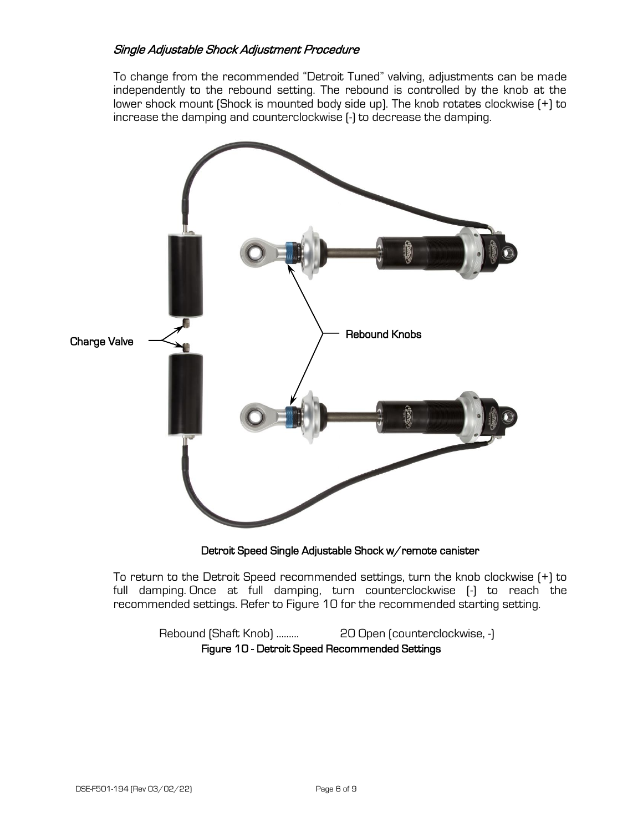## Single Adjustable Shock Adjustment Procedure

To change from the recommended "Detroit Tuned" valving, adjustments can be made independently to the rebound setting. The rebound is controlled by the knob at the lower shock mount (Shock is mounted body side up). The knob rotates clockwise (+) to increase the damping and counterclockwise (-) to decrease the damping.



Detroit Speed Single Adjustable Shock w/remote canister

To return to the Detroit Speed recommended settings, turn the knob clockwise (+) to full damping. Once at full damping, turn counterclockwise (-) to reach the recommended settings. Refer to Figure 10 for the recommended starting setting.

Rebound (Shaft Knob) ……… 20 Open (counterclockwise, -) Figure 10 - Detroit Speed Recommended Settings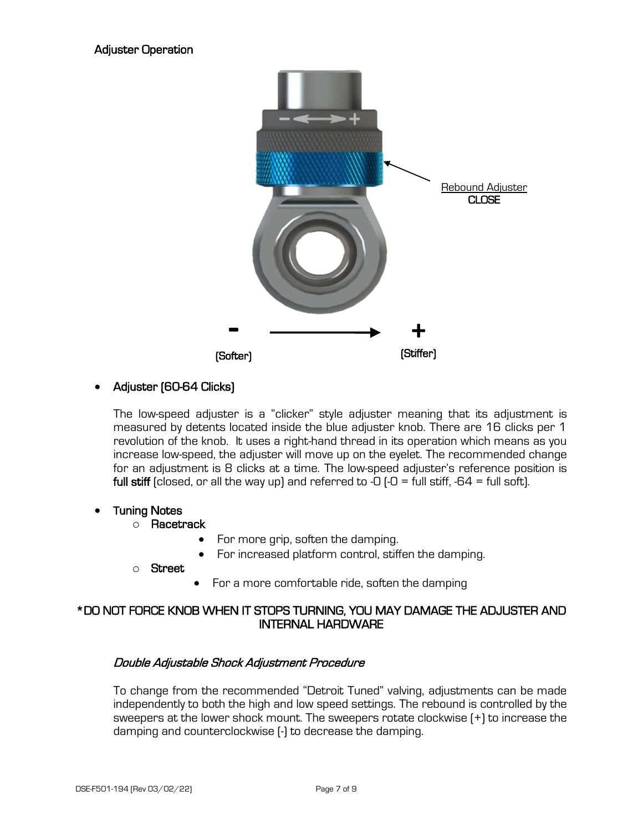

# • Adjuster (60-64 Clicks)

The low-speed adjuster is a "clicker" style adjuster meaning that its adjustment is measured by detents located inside the blue adjuster knob. There are 16 clicks per 1 revolution of the knob. It uses a right-hand thread in its operation which means as you increase low-speed, the adjuster will move up on the eyelet. The recommended change for an adjustment is 8 clicks at a time. The low-speed adjuster's reference position is full stiff (closed, or all the way up) and referred to -0  $\left(-0\right)$  = full stiff, -64 = full soft).

#### • Tuning Notes

- o Racetrack
	- For more grip, soften the damping.
	- For increased platform control, stiffen the damping.
- o Street
- For a more comfortable ride, soften the damping

# \*DO NOT FORCE KNOB WHEN IT STOPS TURNING, YOU MAY DAMAGE THE ADJUSTER AND INTERNAL HARDWARE

#### Double Adjustable Shock Adjustment Procedure

To change from the recommended "Detroit Tuned" valving, adjustments can be made independently to both the high and low speed settings. The rebound is controlled by the sweepers at the lower shock mount. The sweepers rotate clockwise (+) to increase the damping and counterclockwise (-) to decrease the damping.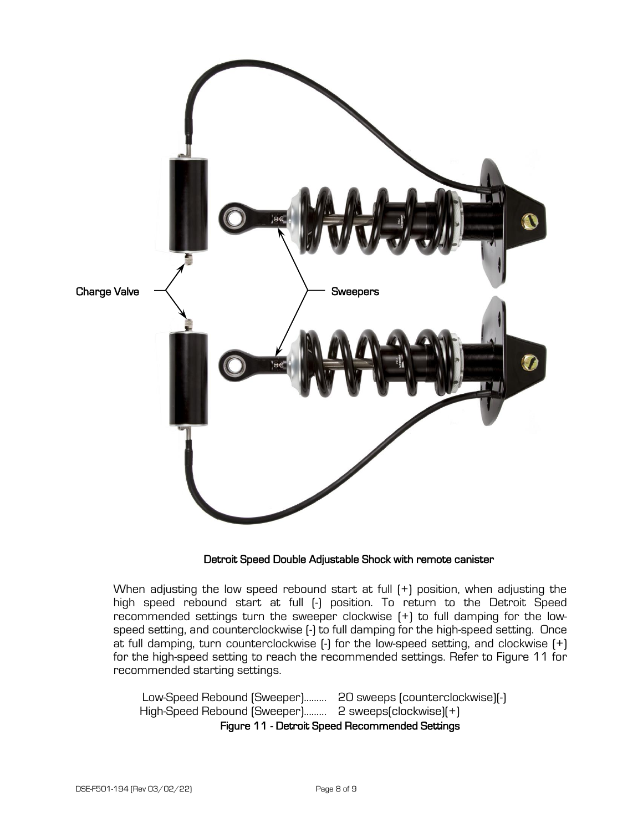

# Detroit Speed Double Adjustable Shock with remote canister

When adjusting the low speed rebound start at full (+) position, when adjusting the high speed rebound start at full (-) position. To return to the Detroit Speed recommended settings turn the sweeper clockwise (+) to full damping for the lowspeed setting, and counterclockwise (-) to full damping for the high-speed setting. Once at full damping, turn counterclockwise (-) for the low-speed setting, and clockwise (+) for the high-speed setting to reach the recommended settings. Refer to Figure 11 for recommended starting settings.

Low-Speed Rebound (Sweeper)……… 20 sweeps (counterclockwise)(-) High-Speed Rebound (Sweeper)……… 2 sweeps(clockwise)(+) Figure 11 - Detroit Speed Recommended Settings